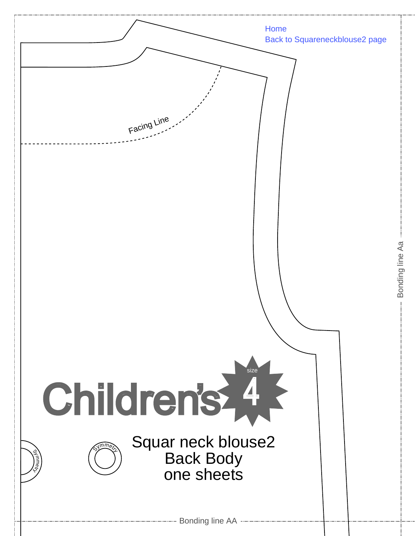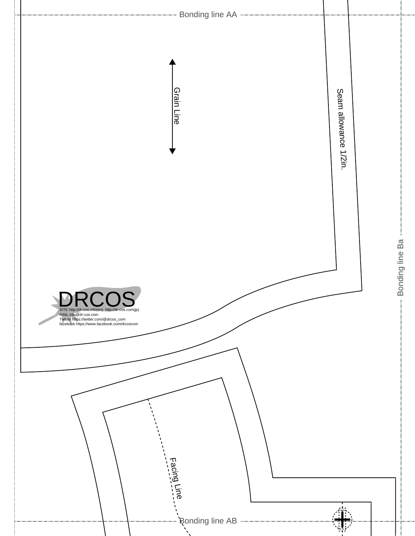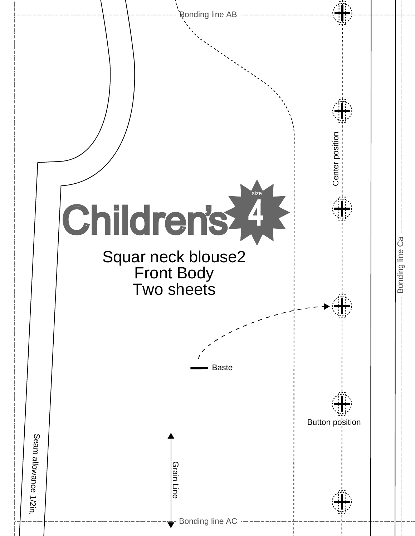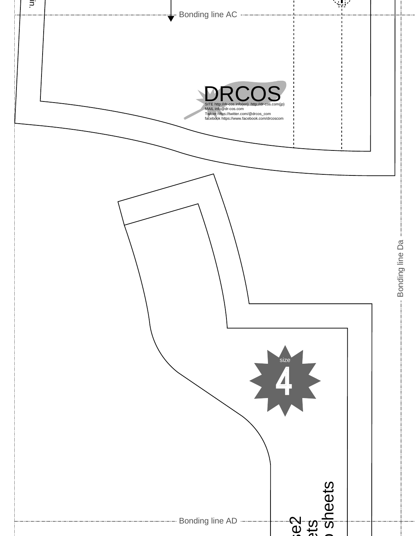